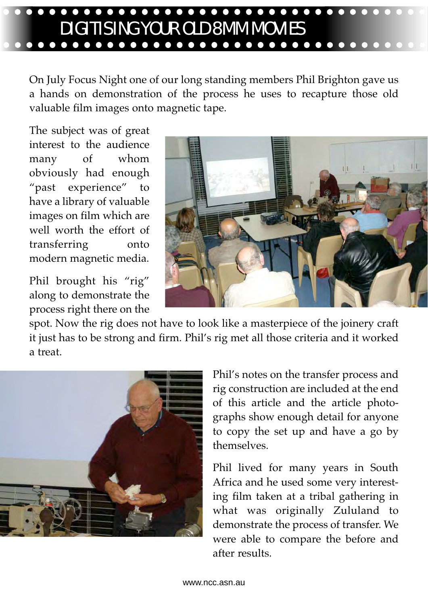# $\bullet\bullet\bullet\bullet$ DIGITISING YOUR OLD 8MM MOVIES

On July Focus Night one of our long standing members Phil Brighton gave us a hands on demonstration of the process he uses to recapture those old valuable film images onto magnetic tape.

The subject was of great interest to the audience many of whom obviously had enough "past experience" to have a library of valuable images on film which are well worth the effort of transferring onto modern magnetic media.

Phil brought his "rig" along to demonstrate the process right there on the



spot. Now the rig does not have to look like a masterpiece of the joinery craft it just has to be strong and firm. Phil's rig met all those criteria and it worked a treat.



Phil's notes on the transfer process and rig construction are included at the end of this article and the article photographs show enough detail for anyone to copy the set up and have a go by themselves.

Phil lived for many years in South Africa and he used some very interesting film taken at a tribal gathering in what was originally Zululand to demonstrate the process of transfer. We were able to compare the before and after results.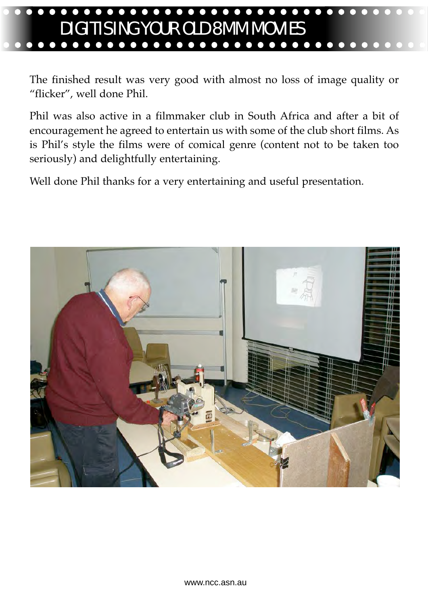# DIGITISING YOUR OLD 8MM MOVIES

The finished result was very good with almost no loss of image quality or "flicker", well done Phil.

Phil was also active in a filmmaker club in South Africa and after a bit of encouragement he agreed to entertain us with some of the club short films. As is Phil's style the films were of comical genre (content not to be taken too seriously) and delightfully entertaining.

Well done Phil thanks for a very entertaining and useful presentation.

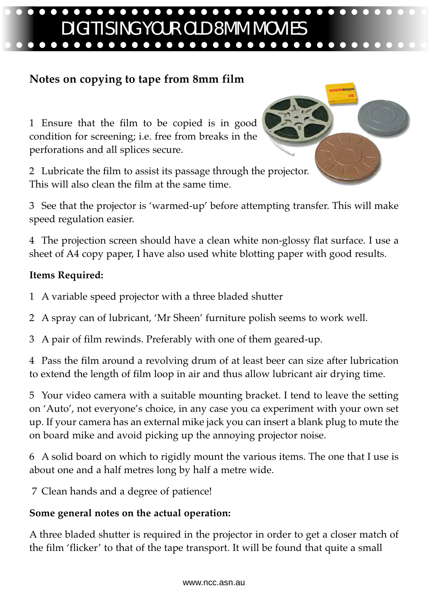# $\bullet\bullet\bullet$ DIGITISING YOUR OLD 8MM MOVIES

## **Notes on copying to tape from 8mm film**

1 Ensure that the film to be copied is in good condition for screening; i.e. free from breaks in the perforations and all splices secure.

2 Lubricate the film to assist its passage through the projector. This will also clean the film at the same time.



4 The projection screen should have a clean white non-glossy flat surface. I use a sheet of A4 copy paper, I have also used white blotting paper with good results.

### **Items Required:**

- 1 A variable speed projector with a three bladed shutter
- 2 A spray can of lubricant, 'Mr Sheen' furniture polish seems to work well.
- 3 A pair of film rewinds. Preferably with one of them geared-up.

4 Pass the film around a revolving drum of at least beer can size after lubrication to extend the length of film loop in air and thus allow lubricant air drying time.

5 Your video camera with a suitable mounting bracket. I tend to leave the setting on 'Auto', not everyone's choice, in any case you ca experiment with your own set up. If your camera has an external mike jack you can insert a blank plug to mute the on board mike and avoid picking up the annoying projector noise.

6 A solid board on which to rigidly mount the various items. The one that I use is about one and a half metres long by half a metre wide.

7 Clean hands and a degree of patience!

### **Some general notes on the actual operation:**

A three bladed shutter is required in the projector in order to get a closer match of the film 'flicker' to that of the tape transport. It will be found that quite a small